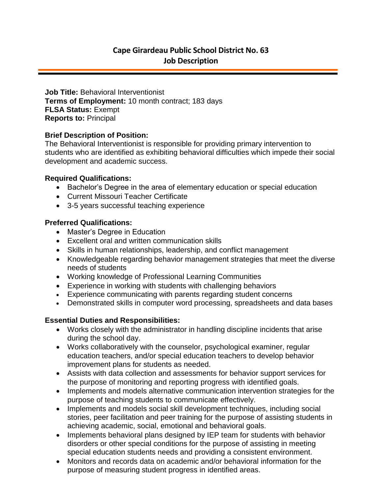**Job Title:** Behavioral Interventionist **Terms of Employment:** 10 month contract; 183 days **FLSA Status:** Exempt **Reports to:** Principal

## **Brief Description of Position:**

The Behavioral Interventionist is responsible for providing primary intervention to students who are identified as exhibiting behavioral difficulties which impede their social development and academic success.

## **Required Qualifications:**

- Bachelor's Degree in the area of elementary education or special education
- Current Missouri Teacher Certificate
- 3-5 years successful teaching experience

## **Preferred Qualifications:**

- Master's Degree in Education
- Excellent oral and written communication skills
- Skills in human relationships, leadership, and conflict management
- Knowledgeable regarding behavior management strategies that meet the diverse needs of students
- Working knowledge of Professional Learning Communities
- Experience in working with students with challenging behaviors
- Experience communicating with parents regarding student concerns
- Demonstrated skills in computer word processing, spreadsheets and data bases

# **Essential Duties and Responsibilities:**

- Works closely with the administrator in handling discipline incidents that arise during the school day.
- Works collaboratively with the counselor, psychological examiner, regular education teachers, and/or special education teachers to develop behavior improvement plans for students as needed.
- Assists with data collection and assessments for behavior support services for the purpose of monitoring and reporting progress with identified goals.
- Implements and models alternative communication intervention strategies for the purpose of teaching students to communicate effectively.
- Implements and models social skill development techniques, including social stories, peer facilitation and peer training for the purpose of assisting students in achieving academic, social, emotional and behavioral goals.
- Implements behavioral plans designed by IEP team for students with behavior disorders or other special conditions for the purpose of assisting in meeting special education students needs and providing a consistent environment.
- Monitors and records data on academic and/or behavioral information for the purpose of measuring student progress in identified areas.